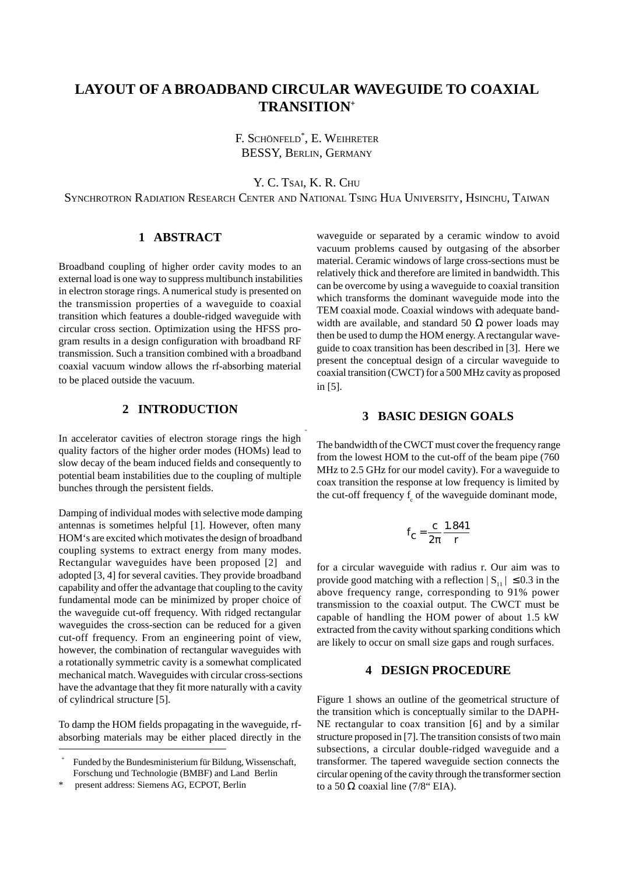# **LAYOUT OF A BROADBAND CIRCULAR WAVEGUIDE TO COAXIAL TRANSITION+**

F. SCHÖNFELD\* , E. WEIHRETER BESSY, BERLIN, GERMANY

Y. C. TSAI, K. R. CHU

SYNCHROTRON RADIATION RESEARCH CENTER AND NATIONAL TSING HUA UNIVERSITY, HSINCHU, TAIWAN

# **1 ABSTRACT**

Broadband coupling of higher order cavity modes to an external load is one way to suppress multibunch instabilities in electron storage rings. A numerical study is presented on the transmission properties of a waveguide to coaxial transition which features a double-ridged waveguide with circular cross section. Optimization using the HFSS program results in a design configuration with broadband RF transmission. Such a transition combined with a broadband coaxial vacuum window allows the rf-absorbing material to be placed outside the vacuum.

# **2 INTRODUCTION**

In accelerator cavities of electron storage rings the high quality factors of the higher order modes (HOMs) lead to slow decay of the beam induced fields and consequently to potential beam instabilities due to the coupling of multiple bunches through the persistent fields.

Damping of individual modes with selective mode damping antennas is sometimes helpful [1]. However, often many HOM's are excited which motivates the design of broadband coupling systems to extract energy from many modes. Rectangular waveguides have been proposed [2] and adopted [3, 4] for several cavities. They provide broadband capability and offer the advantage that coupling to the cavity fundamental mode can be minimized by proper choice of the waveguide cut-off frequency. With ridged rectangular waveguides the cross-section can be reduced for a given cut-off frequency. From an engineering point of view, however, the combination of rectangular waveguides with a rotationally symmetric cavity is a somewhat complicated mechanical match. Waveguides with circular cross-sections have the advantage that they fit more naturally with a cavity of cylindrical structure [5].

To damp the HOM fields propagating in the waveguide, rfabsorbing materials may be either placed directly in the waveguide or separated by a ceramic window to avoid vacuum problems caused by outgasing of the absorber material. Ceramic windows of large cross-sections must be relatively thick and therefore are limited in bandwidth. This can be overcome by using a waveguide to coaxial transition which transforms the dominant waveguide mode into the TEM coaxial mode. Coaxial windows with adequate bandwidth are available, and standard 50  $\Omega$  power loads may then be used to dump the HOM energy. A rectangular waveguide to coax transition has been described in [3]. Here we present the conceptual design of a circular waveguide to coaxial transition (CWCT) for a 500 MHz cavity as proposed in [5].

#### **3 BASIC DESIGN GOALS**

The bandwidth of the CWCT must cover the frequency range from the lowest HOM to the cut-off of the beam pipe (760 MHz to 2.5 GHz for our model cavity). For a waveguide to coax transition the response at low frequency is limited by the cut-off frequency  $f_c$  of the waveguide dominant mode,

$$
f_{\rm C} = \frac{c}{2\pi} \frac{1.841}{r}
$$

for a circular waveguide with radius r. Our aim was to provide good matching with a reflection  $|S_{11}| \le 0.3$  in the above frequency range, corresponding to 91% power transmission to the coaxial output. The CWCT must be capable of handling the HOM power of about 1.5 kW extracted from the cavity without sparking conditions which are likely to occur on small size gaps and rough surfaces.

#### **4 DESIGN PROCEDURE**

Figure 1 shows an outline of the geometrical structure of the transition which is conceptually similar to the DAPH-NE rectangular to coax transition [6] and by a similar structure proposed in [7]. The transition consists of two main subsections, a circular double-ridged waveguide and a transformer. The tapered waveguide section connects the circular opening of the cavity through the transformer section to a 50 Ω coaxial line  $(7/8)$  EIA).

<sup>+</sup> Funded by the Bundesministerium für Bildung, Wissenschaft, Forschung und Technologie (BMBF) and Land Berlin

present address: Siemens AG, ECPOT, Berlin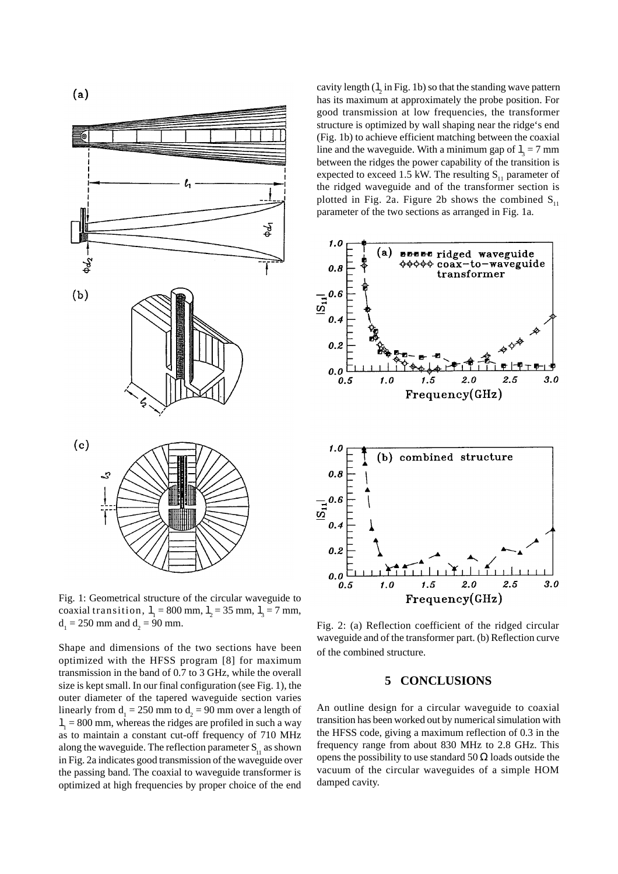

Fig. 1: Geometrical structure of the circular waveguide to coaxial transition,  $l_1 = 800$  mm,  $l_2 = 35$  mm,  $l_3 = 7$  mm,  $d_1 = 250$  mm and  $d_2 = 90$  mm.

Shape and dimensions of the two sections have been optimized with the HFSS program [8] for maximum transmission in the band of 0.7 to 3 GHz, while the overall size is kept small. In our final configuration (see Fig. 1), the outer diameter of the tapered waveguide section varies linearly from  $d_1 = 250$  mm to  $d_2 = 90$  mm over a length of  $l_1$  = 800 mm, whereas the ridges are profiled in such a way as to maintain a constant cut-off frequency of 710 MHz along the waveguide. The reflection parameter  $S_{11}$  as shown in Fig. 2a indicates good transmission of the waveguide over the passing band. The coaxial to waveguide transformer is optimized at high frequencies by proper choice of the end

cavity length  $(1, in Fig. 1b)$  so that the standing wave pattern has its maximum at approximately the probe position. For good transmission at low frequencies, the transformer structure is optimized by wall shaping near the ridge's end (Fig. 1b) to achieve efficient matching between the coaxial line and the waveguide. With a minimum gap of  $l_3 = 7$  mm between the ridges the power capability of the transition is expected to exceed 1.5 kW. The resulting  $S_{11}$  parameter of the ridged waveguide and of the transformer section is plotted in Fig. 2a. Figure 2b shows the combined  $S_{11}$ parameter of the two sections as arranged in Fig. 1a.



Fig. 2: (a) Reflection coefficient of the ridged circular waveguide and of the transformer part. (b) Reflection curve of the combined structure.

#### **5 CONCLUSIONS**

An outline design for a circular waveguide to coaxial transition has been worked out by numerical simulation with the HFSS code, giving a maximum reflection of 0.3 in the frequency range from about 830 MHz to 2.8 GHz. This opens the possibility to use standard 50  $\Omega$  loads outside the vacuum of the circular waveguides of a simple HOM damped cavity.